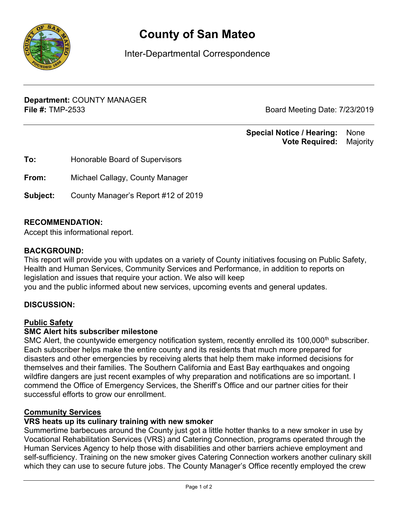

# **County of San Mateo**

Inter-Departmental Correspondence

**Department:** COUNTY MANAGER **File #:** TMP-2533 **Board Meeting Date: 7/23/2019** 

#### **Special Notice / Hearing:** None\_\_ **Vote Required:** Majority

| To:      | Honorable Board of Supervisors      |
|----------|-------------------------------------|
| From:    | Michael Callagy, County Manager     |
| Subject: | County Manager's Report #12 of 2019 |

### **RECOMMENDATION:**

Accept this informational report.

#### **BACKGROUND:**

This report will provide you with updates on a variety of County initiatives focusing on Public Safety, Health and Human Services, Community Services and Performance, in addition to reports on legislation and issues that require your action. We also will keep you and the public informed about new services, upcoming events and general updates.

#### **DISCUSSION:**

#### Public Safety

#### **SMC Alert hits subscriber milestone**

SMC Alert, the countywide emergency notification system, recently enrolled its 100,000<sup>th</sup> subscriber. Each subscriber helps make the entire county and its residents that much more prepared for disasters and other emergencies by receiving alerts that help them make informed decisions for themselves and their families. The Southern California and East Bay earthquakes and ongoing wildfire dangers are just recent examples of why preparation and notifications are so important. I commend the Office of Emergency Services, the Sheriff's Office and our partner cities for their successful efforts to grow our enrollment.

#### Community Services

#### **VRS heats up its culinary training with new smoker**

Summertime barbecues around the County just got a little hotter thanks to a new smoker in use by Vocational Rehabilitation Services (VRS) and Catering Connection, programs operated through the Human Services Agency to help those with disabilities and other barriers achieve employment and self-sufficiency. Training on the new smoker gives Catering Connection workers another culinary skill which they can use to secure future jobs. The County Manager's Office recently employed the crew